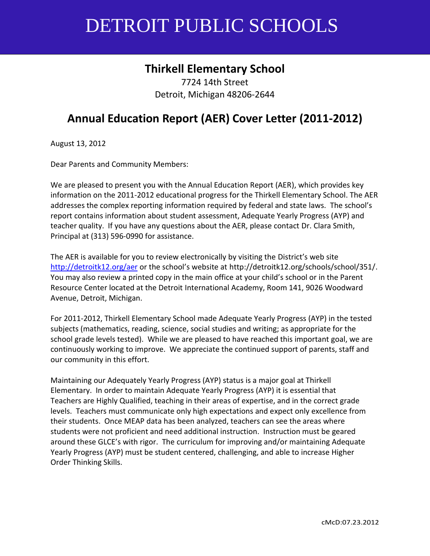# **Thirkell Elementary School**

7724 14th Street Detroit, Michigan 48206-2644

# **Annual Education Report (AER) Cover Letter (2011-2012)**

August 13, 2012

Dear Parents and Community Members:

We are pleased to present you with the Annual Education Report (AER), which provides key information on the 2011-2012 educational progress for the Thirkell Elementary School. The AER addresses the complex reporting information required by federal and state laws. The school's report contains information about student assessment, Adequate Yearly Progress (AYP) and teacher quality. If you have any questions about the AER, please contact Dr. Clara Smith, Principal at (313) 596-0990 for assistance.

The AER is available for you to review electronically by visiting the District's web site <http://detroitk12.org/aer> or the school's website at http://detroitk12.org/schools/school/351/. You may also review a printed copy in the main office at your child's school or in the Parent Resource Center located at the Detroit International Academy, Room 141, 9026 Woodward Avenue, Detroit, Michigan.

For 2011-2012, Thirkell Elementary School made Adequate Yearly Progress (AYP) in the tested subjects (mathematics, reading, science, social studies and writing; as appropriate for the school grade levels tested). While we are pleased to have reached this important goal, we are continuously working to improve. We appreciate the continued support of parents, staff and our community in this effort.

Maintaining our Adequately Yearly Progress (AYP) status is a major goal at Thirkell Elementary. In order to maintain Adequate Yearly Progress (AYP) it is essential that Teachers are Highly Qualified, teaching in their areas of expertise, and in the correct grade levels. Teachers must communicate only high expectations and expect only excellence from their students. Once MEAP data has been analyzed, teachers can see the areas where students were not proficient and need additional instruction. Instruction must be geared around these GLCE's with rigor. The curriculum for improving and/or maintaining Adequate Yearly Progress (AYP) must be student centered, challenging, and able to increase Higher Order Thinking Skills.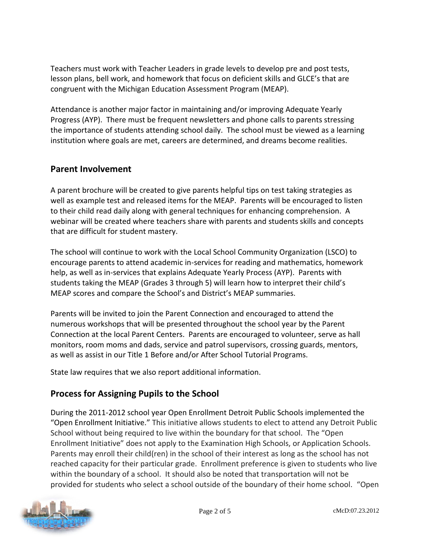Teachers must work with Teacher Leaders in grade levels to develop pre and post tests, lesson plans, bell work, and homework that focus on deficient skills and GLCE's that are congruent with the Michigan Education Assessment Program (MEAP).

Attendance is another major factor in maintaining and/or improving Adequate Yearly Progress (AYP). There must be frequent newsletters and phone calls to parents stressing the importance of students attending school daily. The school must be viewed as a learning institution where goals are met, careers are determined, and dreams become realities.

#### **Parent Involvement**

A parent brochure will be created to give parents helpful tips on test taking strategies as well as example test and released items for the MEAP. Parents will be encouraged to listen to their child read daily along with general techniques for enhancing comprehension. A webinar will be created where teachers share with parents and students skills and concepts that are difficult for student mastery.

The school will continue to work with the Local School Community Organization (LSCO) to encourage parents to attend academic in-services for reading and mathematics, homework help, as well as in-services that explains Adequate Yearly Process (AYP). Parents with students taking the MEAP (Grades 3 through 5) will learn how to interpret their child's MEAP scores and compare the School's and District's MEAP summaries.

Parents will be invited to join the Parent Connection and encouraged to attend the numerous workshops that will be presented throughout the school year by the Parent Connection at the local Parent Centers. Parents are encouraged to volunteer, serve as hall monitors, room moms and dads, service and patrol supervisors, crossing guards, mentors, as well as assist in our Title 1 Before and/or After School Tutorial Programs.

State law requires that we also report additional information.

# **Process for Assigning Pupils to the School**

During the 2011-2012 school year Open Enrollment Detroit Public Schools implemented the "Open Enrollment Initiative." This initiative allows students to elect to attend any Detroit Public School without being required to live within the boundary for that school. The "Open Enrollment Initiative" does not apply to the Examination High Schools, or Application Schools. Parents may enroll their child(ren) in the school of their interest as long as the school has not reached capacity for their particular grade. Enrollment preference is given to students who live within the boundary of a school. It should also be noted that transportation will not be provided for students who select a school outside of the boundary of their home school. "Open

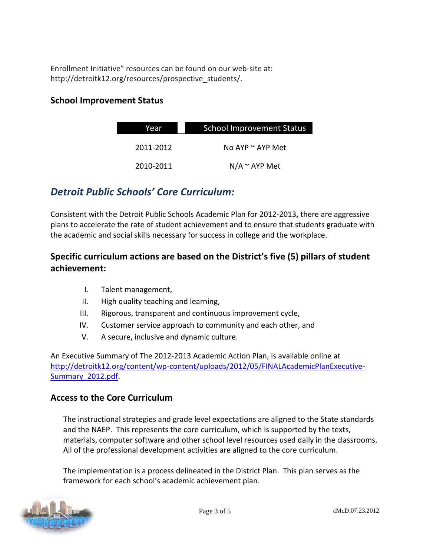Enrollment Initiative" resources can be found on our web-site at: http://detroitk12.org/resources/prospective\_students/.

#### **School Improvement Status**

| Year      | <b>School Improvement Status</b> |  |
|-----------|----------------------------------|--|
| 2011-2012 | No AYP $\sim$ AYP Met            |  |
| 2010-2011 | $N/A \sim AYP$ Met               |  |

# *Detroit Public Schools' Core Curriculum:*

Consistent with the Detroit Public Schools Academic Plan for 2012-2013**,** there are aggressive plans to accelerate the rate of student achievement and to ensure that students graduate with the academic and social skills necessary for success in college and the workplace.

# **Specific curriculum actions are based on the District's five (5) pillars of student achievement:**

- I. Talent management,
- II. High quality teaching and learning,
- III. Rigorous, transparent and continuous improvement cycle,
- IV. Customer service approach to community and each other, and
- V. A secure, inclusive and dynamic culture.

An Executive Summary of The 2012-2013 Academic Action Plan, is available online at [http://detroitk12.org/content/wp-content/uploads/2012/05/FINALAcademicPlanExecutive-](http://detroitk12.org/content/wp-content/uploads/2012/05/FINALAcademicPlanExecutive-Summary_2012.pdf)[Summary\\_2012.pdf](http://detroitk12.org/content/wp-content/uploads/2012/05/FINALAcademicPlanExecutive-Summary_2012.pdf).

#### **Access to the Core Curriculum**

The instructional strategies and grade level expectations are aligned to the State standards and the NAEP. This represents the core curriculum, which is supported by the texts, materials, computer software and other school level resources used daily in the classrooms. All of the professional development activities are aligned to the core curriculum.

The implementation is a process delineated in the District Plan. This plan serves as the framework for each school's academic achievement plan.

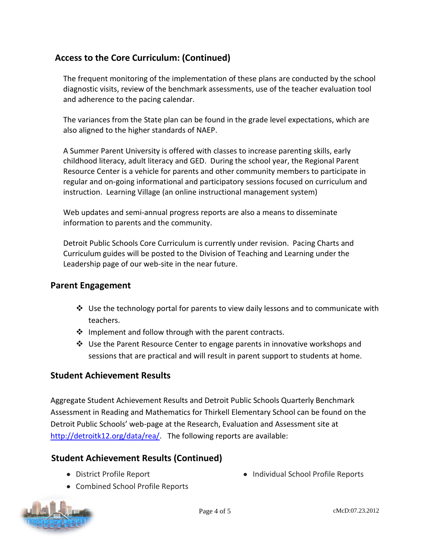# **Access to the Core Curriculum: (Continued)**

The frequent monitoring of the implementation of these plans are conducted by the school diagnostic visits, review of the benchmark assessments, use of the teacher evaluation tool and adherence to the pacing calendar.

The variances from the State plan can be found in the grade level expectations, which are also aligned to the higher standards of NAEP.

A Summer Parent University is offered with classes to increase parenting skills, early childhood literacy, adult literacy and GED. During the school year, the Regional Parent Resource Center is a vehicle for parents and other community members to participate in regular and on-going informational and participatory sessions focused on curriculum and instruction. Learning Village (an online instructional management system)

Web updates and semi-annual progress reports are also a means to disseminate information to parents and the community.

Detroit Public Schools Core Curriculum is currently under revision. Pacing Charts and Curriculum guides will be posted to the Division of Teaching and Learning under the Leadership page of our web-site in the near future.

#### **Parent Engagement**

- $\cdot$  Use the technology portal for parents to view daily lessons and to communicate with teachers.
- ❖ Implement and follow through with the parent contracts.
- $\div$  Use the Parent Resource Center to engage parents in innovative workshops and sessions that are practical and will result in parent support to students at home.

#### **Student Achievement Results**

Aggregate Student Achievement Results and Detroit Public Schools Quarterly Benchmark Assessment in Reading and Mathematics for Thirkell Elementary School can be found on the Detroit Public Schools' web-page at the Research, Evaluation and Assessment site at [http://detroitk12.org/data/rea/.](http://detroitk12.org/data/rea/) The following reports are available:

#### **Student Achievement Results (Continued)**

District Profile Report

- Individual School Profile Reports
- Combined School Profile Reports